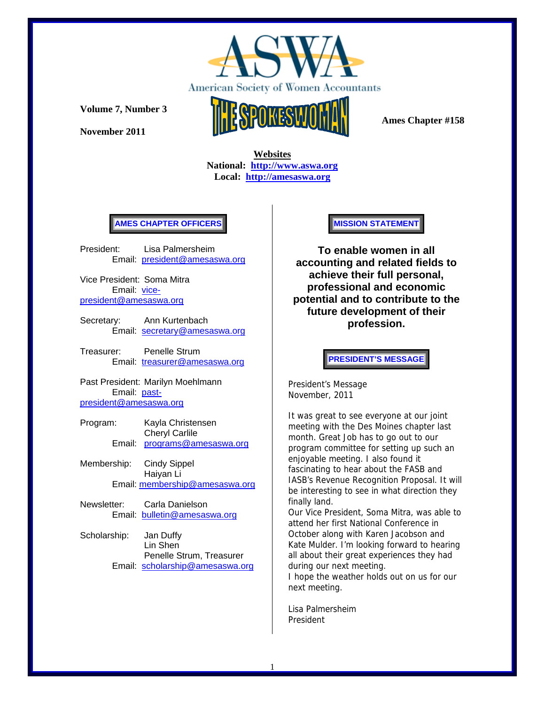

**Volume 7, Number 3** 

**November 2011** 



 **Ames Chapter #158** 

 **Websites National: http://www.aswa.org Local: http://amesaswa.org**

### **AMES CHAPTER OFFICERS**

President: Lisa Palmersheim Email: president@amesaswa.org

Vice President: Soma Mitra Email: vicepresident@amesaswa.org

Secretary: Ann Kurtenbach Email: secretary@amesaswa.org

Treasurer: Penelle Strum Email: treasurer@amesaswa.org

Past President: Marilyn Moehlmann Email: pastpresident@amesaswa.org

- Program: Kayla Christensen Cheryl Carlile Email: programs@amesaswa.org
- Membership: Cindy Sippel Haiyan Li Email: membership@amesaswa.org
- Newsletter: Carla Danielson Email: bulletin@amesaswa.org
- Scholarship: Jan Duffy Lin Shen Penelle Strum, Treasurer Email: scholarship@amesaswa.org

#### **MISSION STATEMENT**

**To enable women in all accounting and related fields to achieve their full personal, professional and economic potential and to contribute to the future development of their profession.**

**PRESIDENT'S MESSAGE** 

President's Message November, 2011

It was great to see everyone at our joint meeting with the Des Moines chapter last month. Great Job has to go out to our program committee for setting up such an enjoyable meeting. I also found it fascinating to hear about the FASB and IASB's Revenue Recognition Proposal. It will be interesting to see in what direction they finally land.

Our Vice President, Soma Mitra, was able to attend her first National Conference in October along with Karen Jacobson and Kate Mulder. I'm looking forward to hearing all about their great experiences they had during our next meeting.

I hope the weather holds out on us for our next meeting.

Lisa Palmersheim President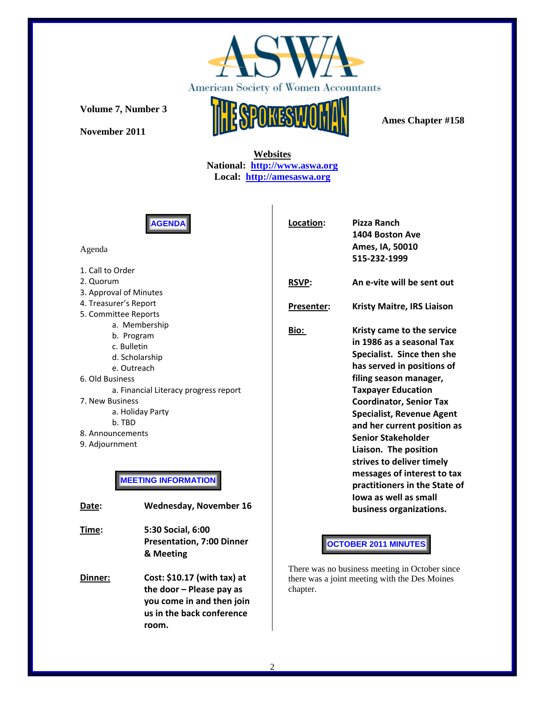

**Volume 7, Number 3** 

**November 2011** 



 **Websites National: http://www.aswa.org Local: http://amesaswa.org**

**AGENDA** 

### Agenda

1. Call to Order 2. Quorum 3. Approval of Minutes 4. Treasurer's Report 5. Committee Reports a. Membership b. Program c. Bulletin d. Scholarship e. Outreach 6. Old Business a. Financial Literacy progress report 7. New Business a. Holiday Party b. TBD 8. Announcements 9. Adjournment

# **MEETING INFORMATION**

| Date: | <b>Wednesday, November 16</b>                                                                                       |
|-------|---------------------------------------------------------------------------------------------------------------------|
| Time: | 5:30 Social, 6:00<br><b>Presentation, 7:00 Dinner</b><br>& Meeting                                                  |
| nner: | Cost: \$10.17 (with tax) at<br>the door $-$ Please pay as<br>you come in and then join<br>us in the back conference |

| Location:    | <b>Pizza Ranch</b>                |  |  |
|--------------|-----------------------------------|--|--|
|              | 1404 Boston Ave                   |  |  |
|              | Ames, IA, 50010                   |  |  |
|              | 515-232-1999                      |  |  |
| <b>RSVP:</b> | An e-vite will be sent out        |  |  |
| Presenter:   | <b>Kristy Maitre, IRS Liaison</b> |  |  |
| Bio:         | Kristy came to the service        |  |  |
|              | in 1986 as a seasonal Tax         |  |  |
|              | Specialist. Since then she        |  |  |
|              | has served in positions of        |  |  |
|              | filing season manager,            |  |  |
|              | <b>Taxpayer Education</b>         |  |  |
|              | <b>Coordinator, Senior Tax</b>    |  |  |
|              | <b>Specialist, Revenue Agent</b>  |  |  |
|              | and her current position as       |  |  |
|              | <b>Senior Stakeholder</b>         |  |  |
|              | Liaison. The position             |  |  |
|              | strives to deliver timely         |  |  |
|              | messages of interest to tax       |  |  |
|              | practitioners in the State of     |  |  |
|              | lowa as well as small             |  |  |
|              | business organizations.           |  |  |
|              |                                   |  |  |
|              | <b>OCTOBER 2011 MINUTES</b>       |  |  |

There was no business meeting in October since there was a joint meeting with the Des Moines chapter.